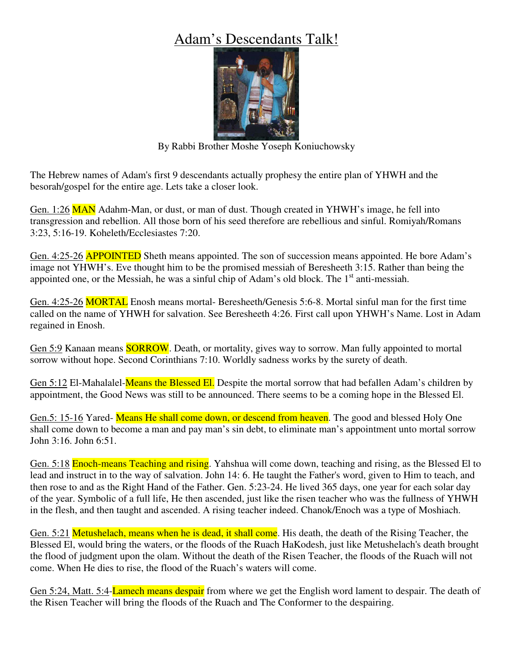## Adam's Descendants Talk!



By Rabbi Brother Moshe Yoseph Koniuchowsky

The Hebrew names of Adam's first 9 descendants actually prophesy the entire plan of YHWH and the besorah/gospel for the entire age. Lets take a closer look.

Gen. 1:26 MAN Adahm-Man, or dust, or man of dust. Though created in YHWH's image, he fell into transgression and rebellion. All those born of his seed therefore are rebellious and sinful. Romiyah/Romans 3:23, 5:16-19. Koheleth/Ecclesiastes 7:20.

Gen. 4:25-26 **APPOINTED** Sheth means appointed. The son of succession means appointed. He bore Adam's image not YHWH's. Eve thought him to be the promised messiah of Beresheeth 3:15. Rather than being the appointed one, or the Messiah, he was a sinful chip of Adam's old block. The  $1<sup>st</sup>$  anti-messiah.

Gen. 4:25-26 MORTAL Enosh means mortal- Beresheeth/Genesis 5:6-8. Mortal sinful man for the first time called on the name of YHWH for salvation. See Beresheeth 4:26. First call upon YHWH's Name. Lost in Adam regained in Enosh.

Gen 5:9 Kanaan means **SORROW**. Death, or mortality, gives way to sorrow. Man fully appointed to mortal sorrow without hope. Second Corinthians 7:10. Worldly sadness works by the surety of death.

Gen 5:12 El-Mahalalel-**Means the Blessed El.** Despite the mortal sorrow that had befallen Adam's children by appointment, the Good News was still to be announced. There seems to be a coming hope in the Blessed El.

Gen.5: 15-16 Yared- Means He shall come down, or descend from heaven. The good and blessed Holy One shall come down to become a man and pay man's sin debt, to eliminate man's appointment unto mortal sorrow John 3:16. John 6:51.

Gen. 5:18 **Enoch-means Teaching and rising**. Yahshua will come down, teaching and rising, as the Blessed El to lead and instruct in to the way of salvation. John 14: 6. He taught the Father's word, given to Him to teach, and then rose to and as the Right Hand of the Father. Gen. 5:23-24. He lived 365 days, one year for each solar day of the year. Symbolic of a full life, He then ascended, just like the risen teacher who was the fullness of YHWH in the flesh, and then taught and ascended. A rising teacher indeed. Chanok/Enoch was a type of Moshiach.

Gen. 5:21 Metushelach, means when he is dead, it shall come. His death, the death of the Rising Teacher, the Blessed El, would bring the waters, or the floods of the Ruach HaKodesh, just like Metushelach's death brought the flood of judgment upon the olam. Without the death of the Risen Teacher, the floods of the Ruach will not come. When He dies to rise, the flood of the Ruach's waters will come.

Gen 5:24, Matt. 5:4-Lamech means despair from where we get the English word lament to despair. The death of the Risen Teacher will bring the floods of the Ruach and The Conformer to the despairing.